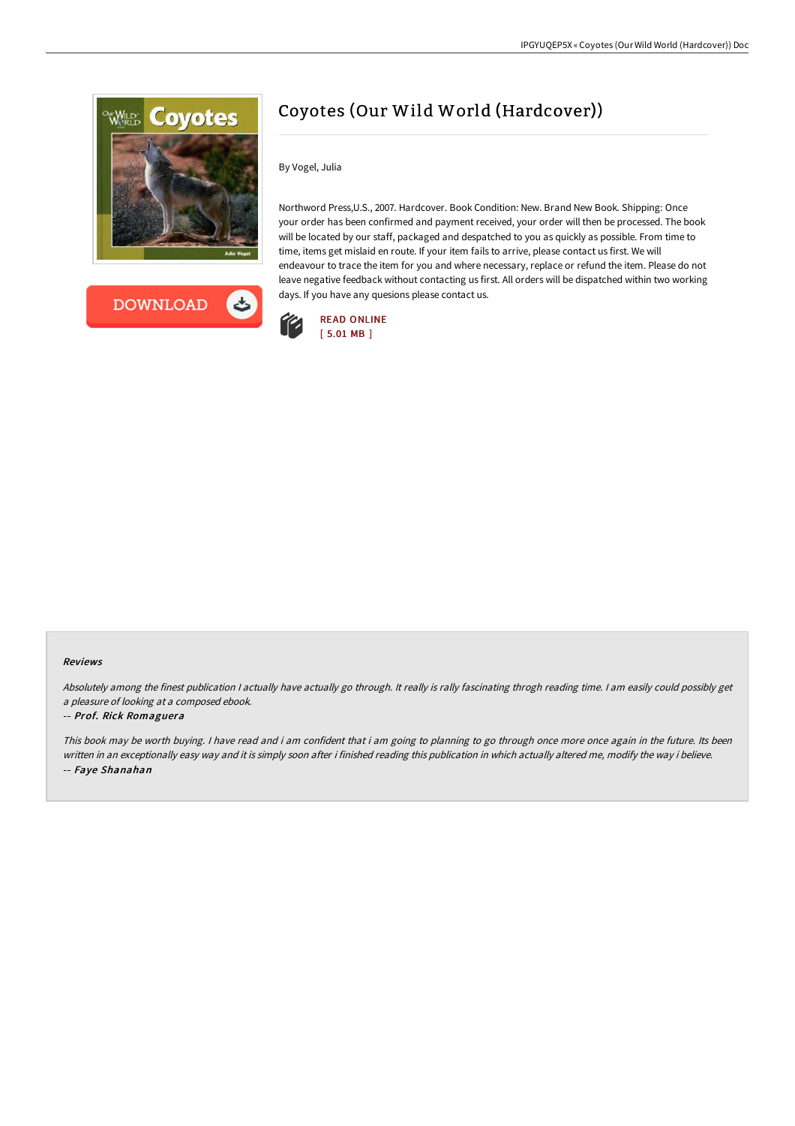



## Coyotes (Our Wild World (Hardcover))

By Vogel, Julia

Northword Press,U.S., 2007. Hardcover. Book Condition: New. Brand New Book. Shipping: Once your order has been confirmed and payment received, your order will then be processed. The book will be located by our staff, packaged and despatched to you as quickly as possible. From time to time, items get mislaid en route. If your item fails to arrive, please contact us first. We will endeavour to trace the item for you and where necessary, replace or refund the item. Please do not leave negative feedback without contacting us first. All orders will be dispatched within two working days. If you have any quesions please contact us.



## Reviews

Absolutely among the finest publication I actually have actually go through. It really is rally fascinating throgh reading time. I am easily could possibly get <sup>a</sup> pleasure of looking at <sup>a</sup> composed ebook.

## -- Prof. Rick Romaguera

This book may be worth buying. I have read and i am confident that i am going to planning to go through once more once again in the future. Its been written in an exceptionally easy way and it is simply soon after i finished reading this publication in which actually altered me, modify the way i believe. -- Faye Shanahan